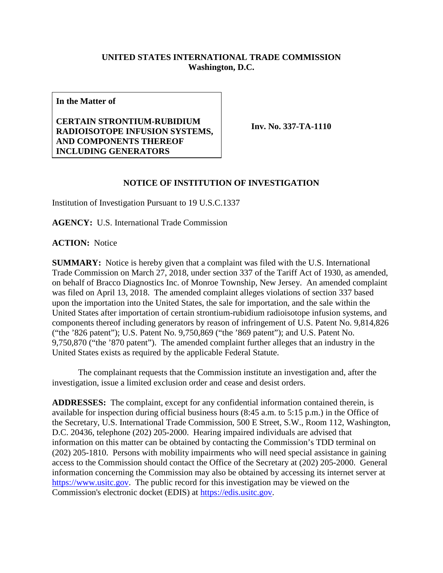## **UNITED STATES INTERNATIONAL TRADE COMMISSION Washington, D.C.**

**In the Matter of**

## **CERTAIN STRONTIUM-RUBIDIUM RADIOISOTOPE INFUSION SYSTEMS, AND COMPONENTS THEREOF INCLUDING GENERATORS**

**Inv. No. 337-TA-1110**

## **NOTICE OF INSTITUTION OF INVESTIGATION**

Institution of Investigation Pursuant to 19 U.S.C.1337

**AGENCY:** U.S. International Trade Commission

**ACTION:** Notice

**SUMMARY:** Notice is hereby given that a complaint was filed with the U.S. International Trade Commission on March 27, 2018, under section 337 of the Tariff Act of 1930, as amended, on behalf of Bracco Diagnostics Inc. of Monroe Township, New Jersey. An amended complaint was filed on April 13, 2018. The amended complaint alleges violations of section 337 based upon the importation into the United States, the sale for importation, and the sale within the United States after importation of certain strontium-rubidium radioisotope infusion systems, and components thereof including generators by reason of infringement of U.S. Patent No. 9,814,826 ("the '826 patent"); U.S. Patent No. 9,750,869 ("the '869 patent"); and U.S. Patent No. 9,750,870 ("the '870 patent"). The amended complaint further alleges that an industry in the United States exists as required by the applicable Federal Statute.

The complainant requests that the Commission institute an investigation and, after the investigation, issue a limited exclusion order and cease and desist orders.

**ADDRESSES:** The complaint, except for any confidential information contained therein, is available for inspection during official business hours (8:45 a.m. to 5:15 p.m.) in the Office of the Secretary, U.S. International Trade Commission, 500 E Street, S.W., Room 112, Washington, D.C. 20436, telephone (202) 205-2000. Hearing impaired individuals are advised that information on this matter can be obtained by contacting the Commission's TDD terminal on (202) 205-1810. Persons with mobility impairments who will need special assistance in gaining access to the Commission should contact the Office of the Secretary at (202) 205-2000. General information concerning the Commission may also be obtained by accessing its internet server at [https://www.usitc.gov.](https://www.usitc.gov/) The public record for this investigation may be viewed on the Commission's electronic docket (EDIS) at [https://edis.usitc.gov.](https://edis.usitc.gov/)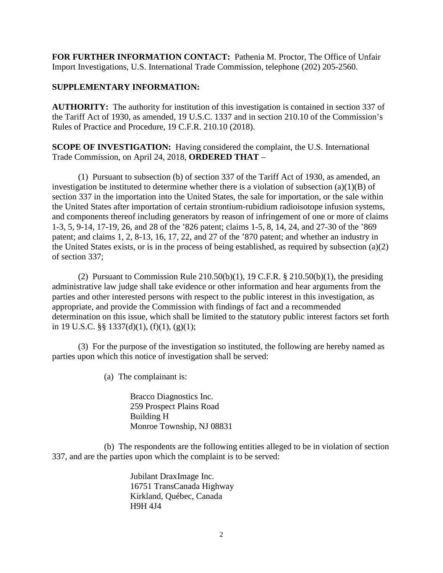**FOR FURTHER INFORMATION CONTACT:** Pathenia M. Proctor, The Office of Unfair Import Investigations, U.S. International Trade Commission, telephone (202) 205-2560.

## **SUPPLEMENTARY INFORMATION:**

**AUTHORITY:** The authority for institution of this investigation is contained in section 337 of the Tariff Act of 1930, as amended, 19 U.S.C. 1337 and in section 210.10 of the Commission's Rules of Practice and Procedure, 19 C.F.R. 210.10 (2018).

**SCOPE OF INVESTIGATION:** Having considered the complaint, the U.S. International Trade Commission, on April 24, 2018, **ORDERED THAT** –

(1) Pursuant to subsection (b) of section 337 of the Tariff Act of 1930, as amended, an investigation be instituted to determine whether there is a violation of subsection  $(a)(1)(B)$  of section 337 in the importation into the United States, the sale for importation, or the sale within the United States after importation of certain strontium-rubidium radioisotope infusion systems, and components thereof including generators by reason of infringement of one or more of claims 1-3, 5, 9-14, 17-19, 26, and 28 of the '826 patent; claims 1-5, 8, 14, 24, and 27-30 of the '869 patent; and claims 1, 2, 8-13, 16, 17, 22, and 27 of the '870 patent; and whether an industry in the United States exists, or is in the process of being established, as required by subsection (a)(2) of section 337;

(2) Pursuant to Commission Rule  $210.50(b)(1)$ , 19 C.F.R. §  $210.50(b)(1)$ , the presiding administrative law judge shall take evidence or other information and hear arguments from the parties and other interested persons with respect to the public interest in this investigation, as appropriate, and provide the Commission with findings of fact and a recommended determination on this issue, which shall be limited to the statutory public interest factors set forth in 19 U.S.C. §§ 1337(d)(1), (f)(1), (g)(1);

(3) For the purpose of the investigation so instituted, the following are hereby named as parties upon which this notice of investigation shall be served:

(a) The complainant is:

Bracco Diagnostics Inc. 259 Prospect Plains Road Building H Monroe Township, NJ 08831

(b) The respondents are the following entities alleged to be in violation of section 337, and are the parties upon which the complaint is to be served:

> Jubilant DraxImage Inc. 16751 TransCanada Highway Kirkland, Québec, Canada H9H 4J4